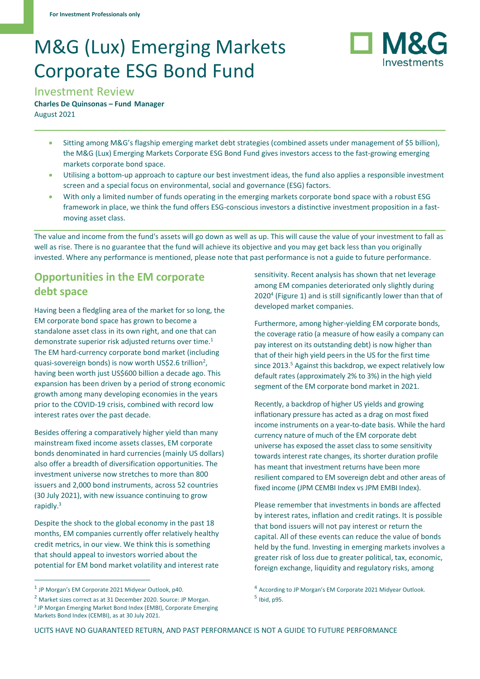# M&G (Lux) Emerging Markets Corporate ESG Bond Fund



Investment Review

**Charles De Quinsonas – Fund Manager**  August 2021

- Sitting among M&G's flagship emerging market debt strategies (combined assets under management of \$5 billion), the M&G (Lux) Emerging Markets Corporate ESG Bond Fund gives investors access to the fast-growing emerging markets corporate bond space.
- Utilising a bottom-up approach to capture our best investment ideas, the fund also applies a responsible investment screen and a special focus on environmental, social and governance (ESG) factors.
- With only a limited number of funds operating in the emerging markets corporate bond space with a robust ESG framework in place, we think the fund offers ESG-conscious investors a distinctive investment proposition in a fastmoving asset class.

The value and income from the fund's assets will go down as well as up. This will cause the value of your investment to fall as well as rise. There is no guarantee that the fund will achieve its objective and you may get back less than you originally invested. Where any performance is mentioned, please note that past performance is not a guide to future performance.

## **Opportunities in the EM corporate debt space**

Having been a fledgling area of the market for so long, the EM corporate bond space has grown to become a standalone asset class in its own right, and one that can demonstrate superior risk adjusted returns over time.<sup>1</sup> The EM hard-currency corporate bond market (including quasi-sovereign bonds) is now worth US\$2.6 trillion<sup>2</sup>, having been worth just US\$600 billion a decade ago. This expansion has been driven by a period of strong economic growth among many developing economies in the years prior to the COVID-19 crisis, combined with record low interest rates over the past decade.

Besides offering a comparatively higher yield than many mainstream fixed income assets classes, EM corporate bonds denominated in hard currencies (mainly US dollars) also offer a breadth of diversification opportunities. The investment universe now stretches to more than 800 issuers and 2,000 bond instruments, across 52 countries (30 July 2021), with new issuance continuing to grow rapidly.<sup>3</sup>

Despite the shock to the global economy in the past 18 months, EM companies currently offer relatively healthy credit metrics, in our view. We think this is something that should appeal to investors worried about the potential for EM bond market volatility and interest rate

Markets Bond Index (CEMBI), as at 30 July 2021.

sensitivity. Recent analysis has shown that net leverage among EM companies deteriorated only slightly during 2020<sup>4</sup> (Figure 1) and is still significantly lower than that of developed market companies.

Furthermore, among higher-yielding EM corporate bonds, the coverage ratio (a measure of how easily a company can pay [interest](https://www.investopedia.com/terms/i/interest.asp) on its outstanding debt) is now higher than that of their high yield peers in the US for the first time since 2013.<sup>5</sup> Against this backdrop, we expect relatively low default rates (approximately 2% to 3%) in the high yield segment of the EM corporate bond market in 2021.

Recently, a backdrop of higher US yields and growing inflationary pressure has acted as a drag on most fixed income instruments on a year-to-date basis. While the hard currency nature of much of the EM corporate debt universe has exposed the asset class to some sensitivity towards interest rate changes, its shorter duration profile has meant that investment returns have been more resilient compared to EM sovereign debt and other areas of fixed income (JPM CEMBI Index vs JPM EMBI Index).

Please remember that investments in bonds are affected by interest rates, inflation and credit ratings. It is possible that bond issuers will not pay interest or return the capital. All of these events can reduce the value of bonds held by the fund. Investing in emerging markets involves a greater risk of loss due to greater political, tax, economic, foreign exchange, liquidity and regulatory risks, among

<sup>&</sup>lt;sup>1</sup> JP Morgan's EM Corporate 2021 Midyear Outlook, p40.

<sup>2</sup> Market sizes correct as at 31 December 2020. Source: JP Morgan. <sup>3</sup> JP Morgan Emerging Market Bond Index (EMBI), Corporate Emerging

<sup>&</sup>lt;sup>4</sup> According to JP Morgan's EM Corporate 2021 Midyear Outlook. 5 Ibid, p95.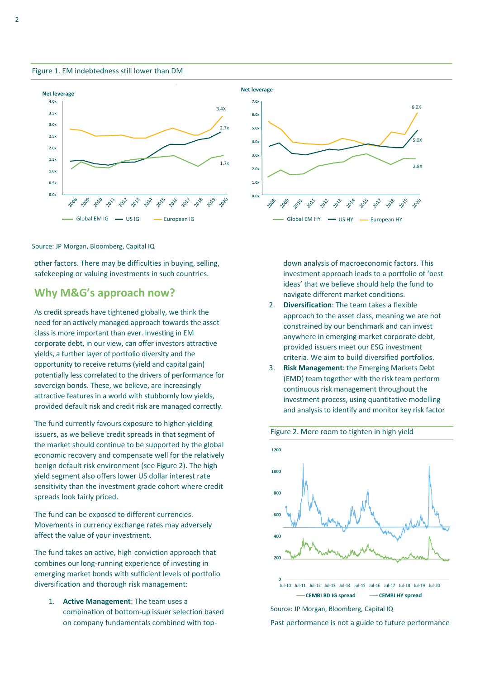Figure 1. EM indebtedness still lower than DM





Source: JP Morgan, Bloomberg, Capital IQ

other factors. There may be difficulties in buying, selling, safekeeping or valuing investments in such countries.

### **Why M&G's approach now?**

As credit spreads have tightened globally, we think the need for an actively managed approach towards the asset class is more important than ever. Investing in EM corporate debt, in our view, can offer investors attractive yields, a further layer of portfolio diversity and the opportunity to receive returns (yield and capital gain) potentially less correlated to the drivers of performance for sovereign bonds. These, we believe, are increasingly attractive features in a world with stubbornly low yields, provided default risk and credit risk are managed correctly.

The fund currently favours exposure to higher-yielding issuers, as we believe credit spreads in that segment of the market should continue to be supported by the global economic recovery and compensate well for the relatively benign default risk environment (see Figure 2). The high yield segment also offers lower US dollar interest rate sensitivity than the investment grade cohort where credit spreads look fairly priced.

The fund can be exposed to different currencies. Movements in currency exchange rates may adversely affect the value of your investment.

The fund takes an active, high-conviction approach that combines our long-running experience of investing in emerging market bonds with sufficient levels of portfolio diversification and thorough risk management:

1. **Active Management**: The team uses a combination of bottom-up issuer selection based on company fundamentals combined with topdown analysis of macroeconomic factors. This investment approach leads to a portfolio of 'best ideas' that we believe should help the fund to navigate different market conditions.

- 2. **Diversification**: The team takes a flexible approach to the asset class, meaning we are not constrained by our benchmark and can invest anywhere in emerging market corporate debt, provided issuers meet our ESG investment criteria. We aim to build diversified portfolios.
- 3. **Risk Management**: the Emerging Markets Debt (EMD) team together with the risk team perform continuous risk management throughout the investment process, using quantitative modelling and analysis to identify and monitor key risk factor



#### Figure 2. More room to tighten in high yield

Source: JP Morgan, Bloomberg, Capital IQ

Past performance is not a guide to future performance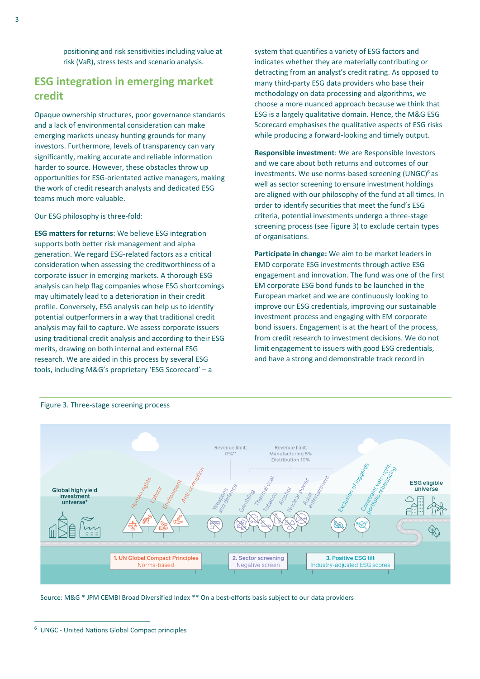positioning and risk sensitivities including value at risk (VaR), stress tests and scenario analysis.

## **ESG integration in emerging market credit**

Opaque ownership structures, poor governance standards and a lack of environmental consideration can make emerging markets uneasy hunting grounds for many investors. Furthermore, levels of transparency can vary significantly, making accurate and reliable information harder to source. However, these obstacles throw up opportunities for ESG-orientated active managers, making the work of credit research analysts and dedicated ESG teams much more valuable.

Our ESG philosophy is three-fold:

**ESG matters for returns**: We believe ESG integration supports both better risk management and alpha generation. We regard ESG-related factors as a critical consideration when assessing the creditworthiness of a corporate issuer in emerging markets. A thorough ESG analysis can help flag companies whose ESG shortcomings may ultimately lead to a deterioration in their credit profile. Conversely, ESG analysis can help us to identify potential outperformers in a way that traditional credit analysis may fail to capture. We assess corporate issuers using traditional credit analysis and according to their ESG merits, drawing on both internal and external ESG research. We are aided in this process by several ESG tools, including M&G's proprietary 'ESG Scorecard' – a

system that quantifies a variety of ESG factors and indicates whether they are materially contributing or detracting from an analyst's credit rating. As opposed to many third-party ESG data providers who base their methodology on data processing and algorithms, we choose a more nuanced approach because we think that ESG is a largely qualitative domain. Hence, the M&G ESG Scorecard emphasises the qualitative aspects of ESG risks while producing a forward-looking and timely output.

**Responsible investment**: We are Responsible Investors and we care about both returns and outcomes of our investments. We use norms-based screening (UNGC)<sup>6</sup> as well as sector screening to ensure investment holdings are aligned with our philosophy of the fund at all times. In order to identify securities that meet the fund's ESG criteria, potential investments undergo a three-stage screening process (see Figure 3) to exclude certain types of organisations.

**Participate in change:** We aim to be market leaders in EMD corporate ESG investments through active ESG engagement and innovation. The fund was one of the first EM corporate ESG bond funds to be launched in the European market and we are continuously looking to improve our ESG credentials, improving our sustainable investment process and engaging with EM corporate bond issuers. Engagement is at the heart of the process, from credit research to investment decisions. We do not limit engagement to issuers with good ESG credentials, and have a strong and demonstrable track record in



Source: M&G \* JPM CEMBI Broad Diversified Index \*\* On a best-efforts basis subject to our data providers

<sup>6</sup> UNGC - United Nations Global Compact principles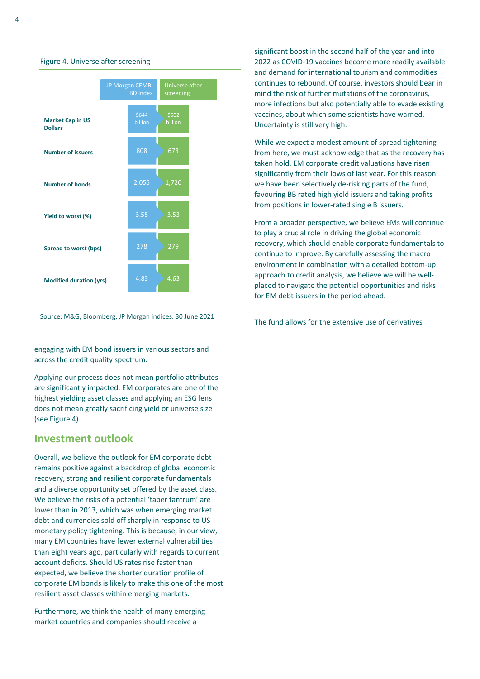



Figure 4. Universe after screening

Source: M&G, Bloomberg, JP Morgan indices. 30 June 2021

engaging with EM bond issuers in various sectors and across the credit quality spectrum.

Applying our process does not mean portfolio attributes are significantly impacted. EM corporates are one of the highest yielding asset classes and applying an ESG lens does not mean greatly sacrificing yield or universe size (see Figure 4).

## **Investment outlook**

Overall, we believe the outlook for EM corporate debt remains positive against a backdrop of global economic recovery, strong and resilient corporate fundamentals and a diverse opportunity set offered by the asset class. We believe the risks of a potential 'taper tantrum' are lower than in 2013, which was when emerging market debt and currencies sold off sharply in response to US monetary policy tightening. This is because, in our view, many EM countries have fewer external vulnerabilities than eight years ago, particularly with regards to current account deficits. Should US rates rise faster than expected, we believe the shorter duration profile of corporate EM bonds is likely to make this one of the most resilient asset classes within emerging markets.

Furthermore, we think the health of many emerging market countries and companies should receive a

significant boost in the second half of the year and into 2022 as COVID-19 vaccines become more readily available and demand for international tourism and commodities continues to rebound. Of course, investors should bear in mind the risk of further mutations of the coronavirus, more infections but also potentially able to evade existing vaccines, about which some scientists have warned. Uncertainty is still very high.

While we expect a modest amount of spread tightening from here, we must acknowledge that as the recovery has taken hold, EM corporate credit valuations have risen significantly from their lows of last year. For this reason we have been selectively de-risking parts of the fund, favouring BB rated high yield issuers and taking profits from positions in lower-rated single B issuers.

From a broader perspective, we believe EMs will continue to play a crucial role in driving the global economic recovery, which should enable corporate fundamentals to continue to improve. By carefully assessing the macro environment in combination with a detailed bottom-up approach to credit analysis, we believe we will be wellplaced to navigate the potential opportunities and risks for EM debt issuers in the period ahead.

The fund allows for the extensive use of derivatives